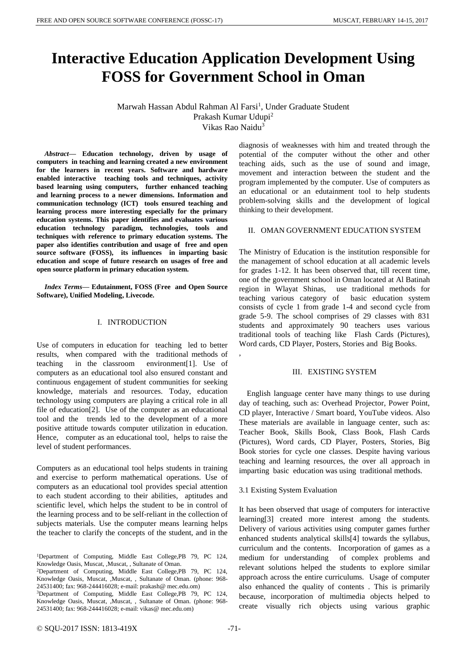# **Interactive Education Application Development Using FOSS for Government School in Oman**

Marwah Hassan Abdul Rahman Al Farsi<sup>1</sup>, Under Graduate Student Prakash Kumar Udupi<sup>2</sup> Vikas Rao Naidu<sup>3</sup>

,

*Abstract***— Education technology, driven by usage of computers in teaching and learning created a new environment for the learners in recent years. Software and hardware enabled interactive teaching tools and techniques, activity based learning using computers, further enhanced teaching and learning process to a newer dimensions. Information and communication technology (ICT) tools ensured teaching and learning process more interesting especially for the primary education systems. This paper identifies and evaluates various education technology paradigm, technologies, tools and techniques with reference to primary education systems. The paper also identifies contribution and usage of free and open source software (FOSS), its influences in imparting basic education and scope of future research on usages of free and open source platform in primary education system.**

*Index Terms***— Edutainment, FOSS (Free and Open Source Software), Unified Modeling, Livecode.**

#### I. INTRODUCTION

Use of computers in education for teaching led to better results, when compared with the traditional methods of teaching in the classroom environment[1]. Use of computers as an educational tool also ensured constant and continuous engagement of student communities for seeking knowledge, materials and resources. Today, education technology using computers are playing a critical role in all file of education[2]. Use of the computer as an educational tool and the trends led to the development of a more positive attitude towards computer utilization in education. Hence, computer as an educational tool, helps to raise the level of student performances.

Computers as an educational tool helps students in training and exercise to perform mathematical operations. Use of computers as an educational tool provides special attention to each student according to their abilities, aptitudes and scientific level, which helps the student to be in control of the learning process and to be self-reliant in the collection of subjects materials. Use the computer means learning helps the teacher to clarify the concepts of the student, and in the

<sup>2</sup>Department of Computing, Middle East College,PB 79, PC 124, Knowledge Oasis, Muscat, ,Muscat, , Sultanate of Oman. (phone: 968-24531400; fax: 968-244416028; e-mail: prakash@ mec.edu.om)

<sup>3</sup>Department of Computing, Middle East College,PB 79, PC 124, Knowledge Oasis, Muscat, ,Muscat, , Sultanate of Oman. (phone: 968-24531400; fax: 968-244416028; e-mail: vikas@ mec.edu.om)

diagnosis of weaknesses with him and treated through the potential of the computer without the other and other teaching aids, such as the use of sound and image, movement and interaction between the student and the program implemented by the computer. Use of computers as an educational or an edutainment tool to help students problem-solving skills and the development of logical thinking to their development.

#### II. OMAN GOVERNMENT EDUCATION SYSTEM

The Ministry of Education is the institution responsible for the management of school education at all academic levels for grades 1-12. It has been observed that, till recent time, one of the government school in Oman located at Al Batinah region in Wlayat Shinas, use traditional methods for teaching various category of basic education system consists of cycle 1 from grade 1-4 and second cycle from grade 5-9. The school comprises of 29 classes with 831 students and approximately 90 teachers uses various traditional tools of teaching like Flash Cards (Pictures), Word cards, CD Player, Posters, Stories and Big Books.

#### III. EXISTING SYSTEM

English language center have many things to use during day of teaching, such as: Overhead Projector, Power Point, CD player, Interactive / Smart board, YouTube videos. Also These materials are available in language center, such as: Teacher Book, Skills Book, Class Book, Flash Cards (Pictures), Word cards, CD Player, Posters, Stories, Big Book stories for cycle one classes. Despite having various teaching and learning resources, the over all approach in imparting basic education was using traditional methods.

#### 3.1 Existing System Evaluation

It has been observed that usage of computers for interactive learning[3] created more interest among the students. Delivery of various activities using computer games further enhanced students analytical skills[4] towards the syllabus, curriculum and the contents. Incorporation of games as a medium for understanding of complex problems and relevant solutions helped the students to explore similar approach across the entire curriculums. Usage of computer also enhanced the quality of contents . This is primarily because, incorporation of multimedia objects helped to create visually rich objects using various graphic

<sup>1</sup>Department of Computing, Middle East College,PB 79, PC 124, Knowledge Oasis, Muscat, , Muscat, , Sultanate of Oman.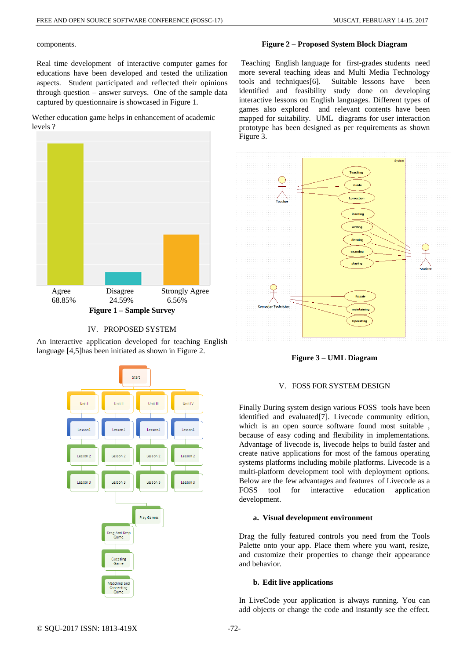components.

Real time development of interactive computer games for educations have been developed and tested the utilization aspects. Student participated and reflected their opinions through question – answer surveys. One of the sample data captured by questionnaire is showcased in Figure 1.

Wether education game helps in enhancement of academic levels ?





An interactive application developed for teaching English language [4,5]has been initiated as shown in Figure 2.



**Figure 2 – Proposed System Block Diagram**

Teaching English language for first-grades students need more several teaching ideas and Multi Media Technology tools and techniques[6]. Suitable lessons have been identified and feasibility study done on developing interactive lessons on English languages. Different types of games also explored and relevant contents have been mapped for suitability. UML diagrams for user interaction prototype has been designed as per requirements as shown Figure 3.



**Figure 3 – UML Diagram**

# V. FOSS FOR SYSTEM DESIGN

Finally During system design various FOSS tools have been identified and evaluated[7]. Livecode community edition, which is an open source software found most suitable , because of easy coding and flexibility in implementations. Advantage of livecode is, livecode helps to build faster and create native applications for most of the famous operating systems platforms including mobile platforms. Livecode is a multi-platform development tool with deployment options. Below are the few advantages and features of Livecode as a FOSS tool for interactive education application development.

# **a. Visual development environment**

Drag the fully featured controls you need from the Tools Palette onto your app. Place them where you want, resize, and customize their properties to change their appearance and behavior.

# **b. Edit live applications**

In LiveCode your application is always running. You can add objects or change the code and instantly see the effect.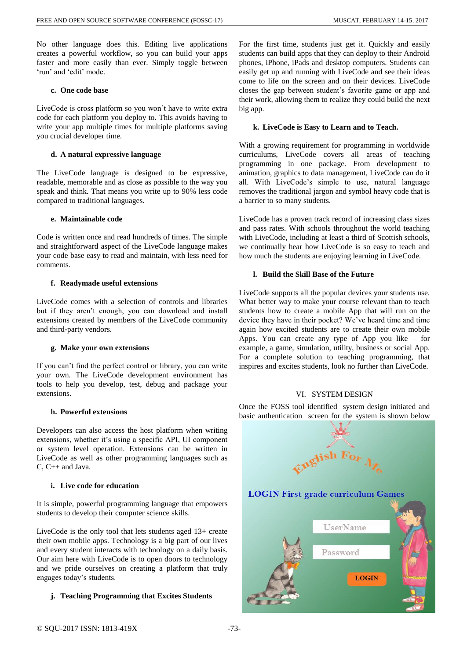No other language does this. Editing live applications creates a powerful workflow, so you can build your apps faster and more easily than ever. Simply toggle between 'run' and 'edit' mode.

# **c. One code base**

LiveCode is cross platform so you won't have to write extra code for each platform you deploy to. This avoids having to write your app multiple times for multiple platforms saving you crucial developer time.

# **d. A natural expressive language**

The LiveCode language is designed to be expressive, readable, memorable and as close as possible to the way you speak and think. That means you write up to 90% less code compared to traditional languages.

# **e. Maintainable code**

Code is written once and read hundreds of times. The simple and straightforward aspect of the LiveCode language makes your code base easy to read and maintain, with less need for comments.

# **f. Readymade useful extensions**

LiveCode comes with a selection of controls and libraries but if they aren't enough, you can download and install extensions created by members of the LiveCode community and third-party vendors.

# **g. Make your own extensions**

If you can't find the perfect control or library, you can write your own. The LiveCode development environment has tools to help you develop, test, debug and package your extensions.

# **h. Powerful extensions**

Developers can also access the host platform when writing extensions, whether it's using a specific API, UI component or system level operation. Extensions can be written in LiveCode as well as other programming languages such as C, C++ and Java.

# **i. Live code for education**

It is simple, powerful programming language that empowers students to develop their computer science skills.

LiveCode is the only tool that lets students aged 13+ create their own mobile apps. Technology is a big part of our lives and every student interacts with technology on a daily basis. Our aim here with LiveCode is to open doors to technology and we pride ourselves on creating a platform that truly engages today's students.

# **j. Teaching Programming that Excites Students**

For the first time, students just get it. Quickly and easily students can build apps that they can deploy to their Android phones, iPhone, iPads and desktop computers. Students can easily get up and running with LiveCode and see their ideas come to life on the screen and on their devices. LiveCode closes the gap between student's favorite game or app and their work, allowing them to realize they could build the next big app.

# **k. LiveCode is Easy to Learn and to Teach.**

With a growing requirement for programming in worldwide curriculums, LiveCode covers all areas of teaching programming in one package. From development to animation, graphics to data management, LiveCode can do it all. With LiveCode's simple to use, natural language removes the traditional jargon and symbol heavy code that is a barrier to so many students.

LiveCode has a proven track record of increasing class sizes and pass rates. With schools throughout the world teaching with LiveCode, including at least a third of Scottish schools, we continually hear how LiveCode is so easy to teach and how much the students are enjoying learning in LiveCode.

# **l. Build the Skill Base of the Future**

LiveCode supports all the popular devices your students use. What better way to make your course relevant than to teach students how to create a mobile App that will run on the device they have in their pocket? We've heard time and time again how excited students are to create their own mobile Apps. You can create any type of App you like – for example, a game, simulation, utility, business or social App. For a complete solution to teaching programming, that inspires and excites students, look no further than LiveCode.

# VI. SYSTEM DESIGN

Once the FOSS tool identified system design initiated and basic authentication screen for the system is shown below

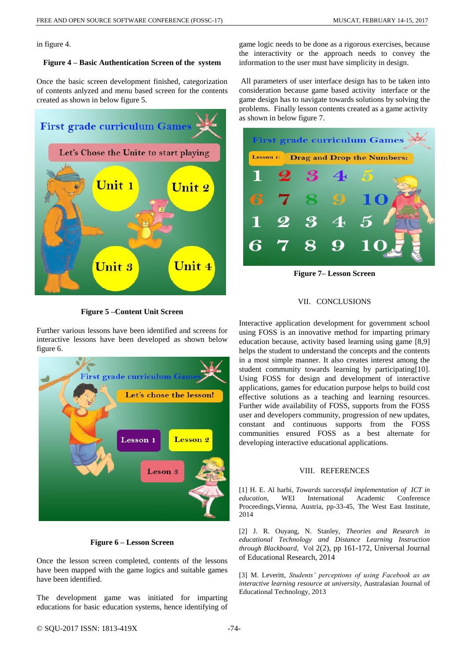in figure 4.

#### **Figure 4 – Basic Authentication Screen of the system**

Once the basic screen development finished, categorization of contents anlyzed and menu based screen for the contents created as shown in below figure 5.



**Figure 5 –Content Unit Screen** 

Further various lessons have been identified and screens for interactive lessons have been developed as shown below figure 6.



# **Figure 6 – Lesson Screen**

Once the lesson screen completed, contents of the lessons have been mapped with the game logics and suitable games have been identified.

The development game was initiated for imparting educations for basic education systems, hence identifying of game logic needs to be done as a rigorous exercises, because the interactivity or the approach needs to convey the information to the user must have simplicity in design.

All parameters of user interface design has to be taken into consideration because game based activity interface or the game design has to navigate towards solutions by solving the problems. Finally lesson contents created as a game activity as shown in below figure 7.



**Figure 7– Lesson Screen** 

#### VII. CONCLUSIONS

Interactive application development for government school using FOSS is an innovative method for imparting primary education because, activity based learning using game [8,9] helps the student to understand the concepts and the contents in a most simple manner. It also creates interest among the student community towards learning by participating[10]. Using FOSS for design and development of interactive applications, games for education purpose helps to build cost effective solutions as a teaching and learning resources. Further wide availability of FOSS, supports from the FOSS user and developers community, progression of new updates, constant and continuous supports from the FOSS communities ensured FOSS as a best alternate for developing interactive educational applications.

#### VIII. REFERENCES

[1] H. E. Al harbi, *Towards successful implementation of ICT in education*, WEI International Academic Conference Proceedings,Vienna, Austria, pp-33-45, The West East Institute, 2014

[2] J. R. Ouyang, N. Stanley, *Theories and Research in educational Technology and Distance Learning Instruction through Blackboard*, Vol 2(2), pp 161-172, Universal Journal of Educational Research, 2014

[3] M. Leveritt, *Students' perceptions of using Facebook as an interactive learning resource at university*, Australasian Journal of Educational Technology, 2013